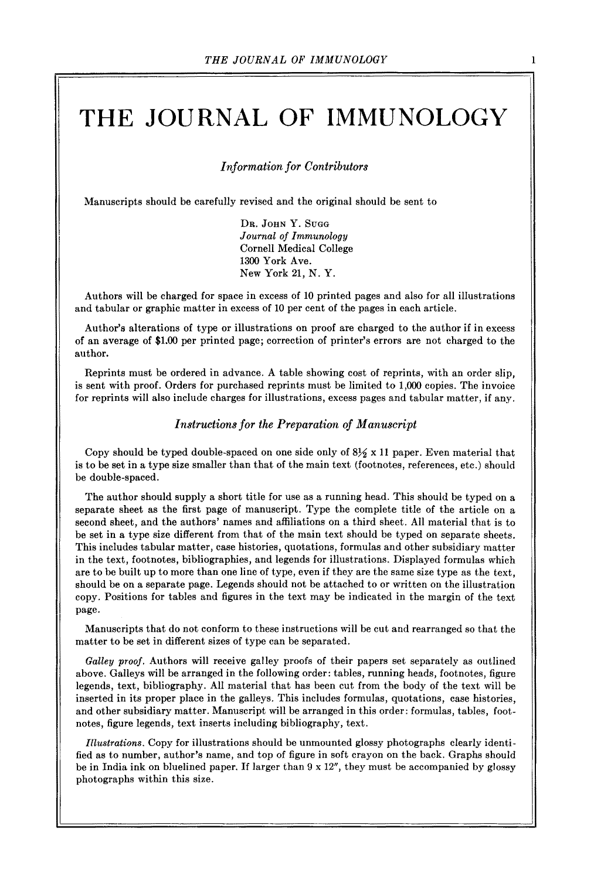# **THE JOURNAL OF IMMUNOLOGY**

*Information for Contributors* 

Manuscripts should be carefully revised and the original should be sent to

Dr. JOHN Y. SUGG *Journal of Immunology*  Cornell Medical College 1300 York Ave. New York 21, N. Y.

Authors will be charged for space in excess of 10 printed pages and also for all illustrations and tabular or graphic matter in excess of 10 per cent of the pages in each article.

Author's alterations of type or illustrations on proof are charged to the author if in excess of an average of \$1.00 per printed page; correction of printer's errors are not charged to the author.

Reprints must be ordered in advance. A table showing cost of reprints, with an order slip, is sent with proof. Orders for purchased reprints must be limited to 1,000 copies. The invoice for reprints will also include charges for illustrations, excess pages and tabular matter, if any.

#### *Instructions for the Preparation of Manuscript*

Copy should be typed double-spaced on one side only of  $8\frac{1}{2} \times 11$  paper. Even material that is to be set in a type size smaller than that of the main text (footnotes, references, etc.) should be double-spaced.

The author should supply a short title for use as a running head. This should be typed on a separate sheet as the first page of manuscript. Type the complete title of the article on a second sheet, and the authors' names and affiliations on a third sheet. All material that is to be set in a type size different from that of the main text should be typed on separate sheets. This includes tabular matter, case histories, quotations, formulas and other subsidiary matter in the text, footnotes, bibliographies, and legends for illustrations. Displayed formulas which are to be built up to more than one line of type, even if they are the same size type as the text, should be on a separate page. Legends should not be attached to or written on the illustration copy. Positions for tables and figures in the text may be indicated in the margin of the text page.

Manuscripts that do not conform to these instructions will be cut and rearranged so that the matter to be set in different sizes of type can be separated.

*Galley proof.* Authors will receive galley proofs of their papers set separately as outlined above. Galleys will be arranged in the following order: tables, running heads, footnotes, figure legends, text, bibliography. All material that has been cut from the body of the text will be inserted in its proper place in the galleys. This includes formulas, quotations, case histories, and other subsidiary matter. Manuscript will be arranged in this order: formulas, tables, footnotes, figure legends, text inserts including bibliography, text.

*Illustrations.* Copy for illustrations should be unmounted glossy photographs clearly identified as to number, author's name, and top of figure in soft crayon on the back. Graphs should be in India ink on bluelined paper. If larger than  $9 \times 12$ ", they must be accompanied by glossy photographs within this size.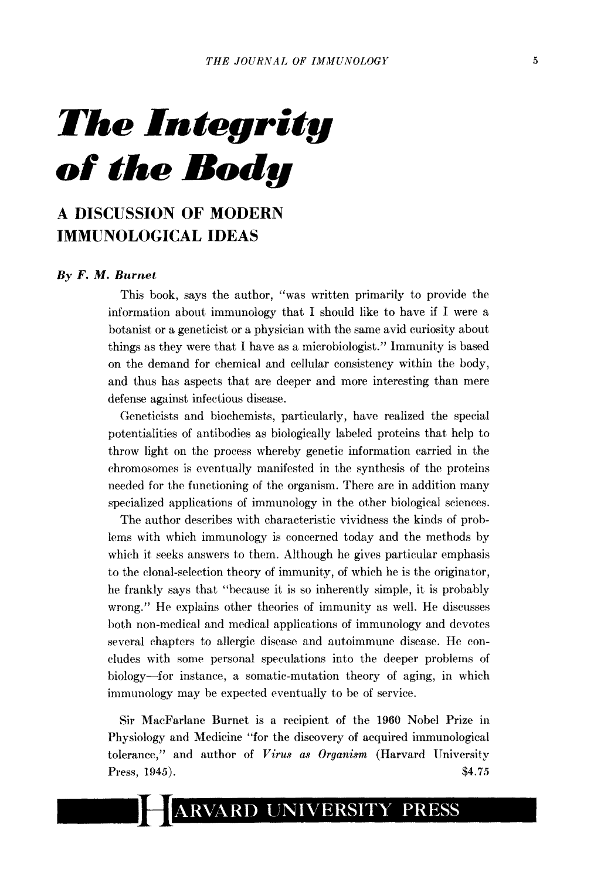*The Integrity of the Body* 

## **A DISCUSSION OF MODERN IMMUNOLOGICAL IDEAS**

### *By F. M. Burnet*

This book, says the author, "was written primarily to provide the information about immunology that I should like to have if I were a botanist or a geneticist or a physician with the same avid curiosity about things as they were that I have as a microbiologist." Immunity is based on the demand for chemical and cellular consistency within the body, and thus has aspects that are deeper and more interesting than mere defense against infectious disease.

Geneticists and biochemists, particularly, have realized the special potentialities of antibodies as biologically labeled proteins that help to throw light on the process whereby genetic information carried in the chromosomes is eventually manifested in the synthesis of the proteins needed for the functioning of the organism. There are in addition many specialized applications of immunology in the other biological sciences.

The author describes with characteristic vividness the kinds of problems with which immunology is concerned today and the methods by which it seeks answers to them. Although he gives particular emphasis to the clonal-setection theory of immunity, of which he is the originator, he frankly says that "because it is so inherently simple, it is probably wrong." He explains other theories of immunity as well. He discusses both non-medical and medical applications of immunology and devotes several chapters to allergic disease and autoimmune disease. He coneludes with some personal speculations into the deeper problems of biology--for instance, a somatic-mutation theory of aging, in which imnnmology may be expected eventually to be of service.

Sir MacFarlane Burnet is a recipient of the 1960 Nobel Prize in Physiology and Medicine "for the discovery of acquired immunological tolerance," and author of *Virus as Organism* (Harvard University Press, 1945). \$4.75

#### **ARVARD UNIVERSITY PRESS**